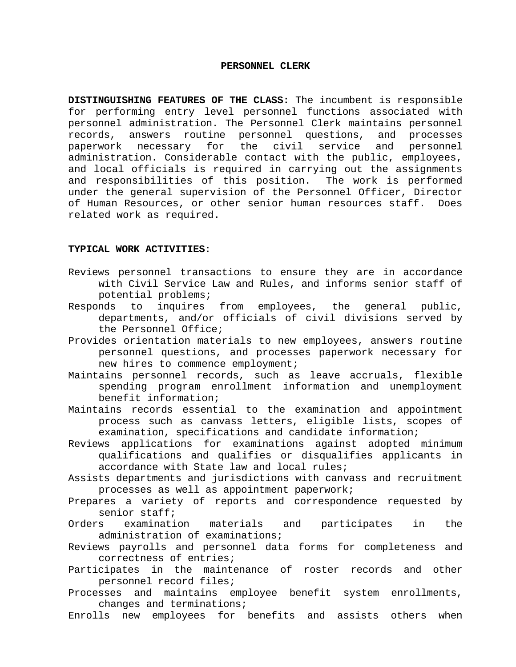## **PERSONNEL CLERK**

**DISTINGUISHING FEATURES OF THE CLASS:** The incumbent is responsible for performing entry level personnel functions associated with personnel administration. The Personnel Clerk maintains personnel records, answers routine personnel questions, and processes paperwork necessary for the civil service and personnel administration. Considerable contact with the public, employees, and local officials is required in carrying out the assignments and responsibilities of this position. The work is performed under the general supervision of the Personnel Officer, Director of Human Resources, or other senior human resources staff. Does related work as required.

## **TYPICAL WORK ACTIVITIES**:

- Reviews personnel transactions to ensure they are in accordance with Civil Service Law and Rules, and informs senior staff of potential problems;
- Responds to inquires from employees, the general public, departments, and/or officials of civil divisions served by the Personnel Office;
- Provides orientation materials to new employees, answers routine personnel questions, and processes paperwork necessary for new hires to commence employment;
- Maintains personnel records, such as leave accruals, flexible spending program enrollment information and unemployment benefit information;
- Maintains records essential to the examination and appointment process such as canvass letters, eligible lists, scopes of examination, specifications and candidate information;
- Reviews applications for examinations against adopted minimum qualifications and qualifies or disqualifies applicants in accordance with State law and local rules;
- Assists departments and jurisdictions with canvass and recruitment processes as well as appointment paperwork;
- Prepares a variety of reports and correspondence requested by senior staff;
- Orders examination materials and participates in the administration of examinations;
- Reviews payrolls and personnel data forms for completeness and correctness of entries;
- Participates in the maintenance of roster records and other personnel record files;
- Processes and maintains employee benefit system enrollments, changes and terminations;
- Enrolls new employees for benefits and assists others when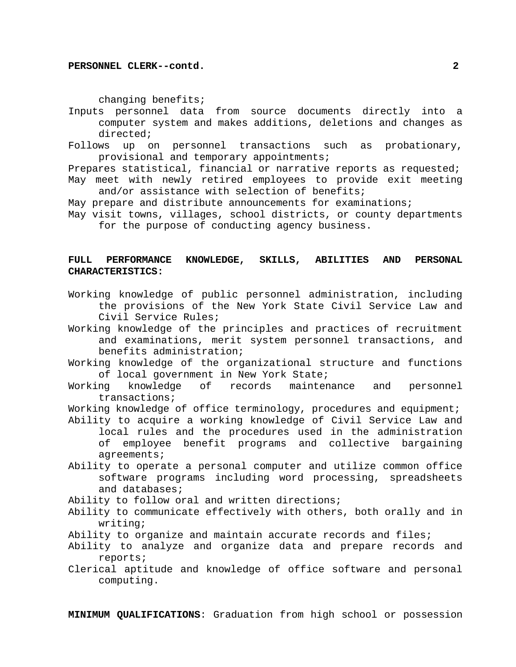changing benefits;

- Inputs personnel data from source documents directly into a computer system and makes additions, deletions and changes as directed;
- Follows up on personnel transactions such as probationary, provisional and temporary appointments;

Prepares statistical, financial or narrative reports as requested; May meet with newly retired employees to provide exit meeting

and/or assistance with selection of benefits;

- May prepare and distribute announcements for examinations;
- May visit towns, villages, school districts, or county departments for the purpose of conducting agency business.

## **FULL PERFORMANCE KNOWLEDGE, SKILLS, ABILITIES AND PERSONAL CHARACTERISTICS:**

- Working knowledge of public personnel administration, including the provisions of the New York State Civil Service Law and Civil Service Rules;
- Working knowledge of the principles and practices of recruitment and examinations, merit system personnel transactions, and benefits administration;
- Working knowledge of the organizational structure and functions of local government in New York State;
- Working knowledge of records maintenance and personnel transactions;

Working knowledge of office terminology, procedures and equipment;

- Ability to acquire a working knowledge of Civil Service Law and local rules and the procedures used in the administration of employee benefit programs and collective bargaining agreements;
- Ability to operate a personal computer and utilize common office software programs including word processing, spreadsheets and databases;
- Ability to follow oral and written directions;
- Ability to communicate effectively with others, both orally and in writing;
- Ability to organize and maintain accurate records and files;
- Ability to analyze and organize data and prepare records and reports;
- Clerical aptitude and knowledge of office software and personal computing.

**MINIMUM QUALIFICATIONS**: Graduation from high school or possession